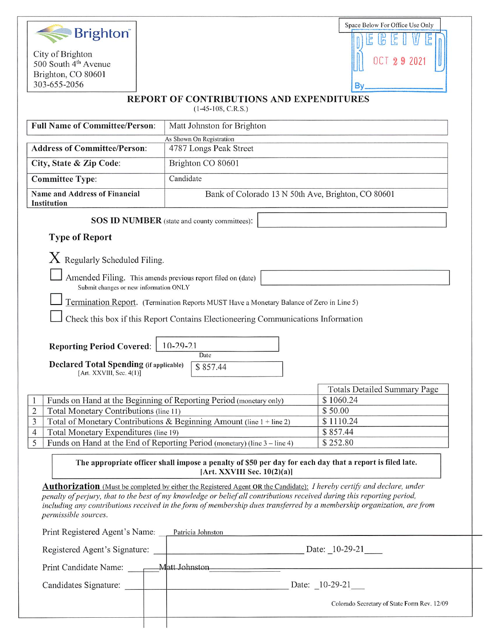

City of Brighton 500 South  $4<sup>th</sup>$  Avenue Brighton, CO 80601 303-655-2056



### REPORT OF CONTRIBUTIONS AND EXPENDITURES

(1-45-108, C.R.S.)

| <b>Full Name of Committee/Person:</b>                                                                 | Matt Johnston for Brighton                                                                                                                                                                                                                                                                                                                                                         |                                             |
|-------------------------------------------------------------------------------------------------------|------------------------------------------------------------------------------------------------------------------------------------------------------------------------------------------------------------------------------------------------------------------------------------------------------------------------------------------------------------------------------------|---------------------------------------------|
| As Shown On Registration                                                                              |                                                                                                                                                                                                                                                                                                                                                                                    |                                             |
| <b>Address of Committee/Person:</b><br>4787 Longs Peak Street                                         |                                                                                                                                                                                                                                                                                                                                                                                    |                                             |
| City, State & Zip Code:                                                                               | Brighton CO 80601                                                                                                                                                                                                                                                                                                                                                                  |                                             |
| <b>Committee Type:</b>                                                                                | Candidate                                                                                                                                                                                                                                                                                                                                                                          |                                             |
| <b>Name and Address of Financial</b>                                                                  | Bank of Colorado 13 N 50th Ave, Brighton, CO 80601                                                                                                                                                                                                                                                                                                                                 |                                             |
| Institution                                                                                           |                                                                                                                                                                                                                                                                                                                                                                                    |                                             |
|                                                                                                       | <b>SOS ID NUMBER</b> (state and county committees):                                                                                                                                                                                                                                                                                                                                |                                             |
| <b>Type of Report</b>                                                                                 |                                                                                                                                                                                                                                                                                                                                                                                    |                                             |
|                                                                                                       |                                                                                                                                                                                                                                                                                                                                                                                    |                                             |
| $X$ Regularly Scheduled Filing.                                                                       |                                                                                                                                                                                                                                                                                                                                                                                    |                                             |
| Amended Filing. This amends previous report filed on (date)<br>Submit changes or new information ONLY |                                                                                                                                                                                                                                                                                                                                                                                    |                                             |
| Termination Report. (Termination Reports MUST Have a Monetary Balance of Zero in Line 5)              |                                                                                                                                                                                                                                                                                                                                                                                    |                                             |
|                                                                                                       | Check this box if this Report Contains Electioneering Communications Information                                                                                                                                                                                                                                                                                                   |                                             |
|                                                                                                       |                                                                                                                                                                                                                                                                                                                                                                                    |                                             |
| <b>Reporting Period Covered:</b>                                                                      | $10-29-21$                                                                                                                                                                                                                                                                                                                                                                         |                                             |
|                                                                                                       | Date                                                                                                                                                                                                                                                                                                                                                                               |                                             |
| <b>Declared Total Spending (if applicable)</b><br>[Art. XXVIII, Sec. 4(1)]                            | \$857.44                                                                                                                                                                                                                                                                                                                                                                           |                                             |
|                                                                                                       |                                                                                                                                                                                                                                                                                                                                                                                    |                                             |
|                                                                                                       |                                                                                                                                                                                                                                                                                                                                                                                    | <b>Totals Detailed Summary Page</b>         |
|                                                                                                       | Funds on Hand at the Beginning of Reporting Period (monetary only)                                                                                                                                                                                                                                                                                                                 | \$1060.24                                   |
| $\overline{2}$<br>Total Monetary Contributions (line 11)<br>\$50.00                                   |                                                                                                                                                                                                                                                                                                                                                                                    |                                             |
| Total of Monetary Contributions & Beginning Amount (line 1 + line 2)<br>\$1110.24<br>3                |                                                                                                                                                                                                                                                                                                                                                                                    |                                             |
| Total Monetary Expenditures (line 19)<br>\$857.44<br>4                                                |                                                                                                                                                                                                                                                                                                                                                                                    |                                             |
| 5<br>Funds on Hand at the End of Reporting Period (monetary) (line 3 – line 4)<br>\$252.80            |                                                                                                                                                                                                                                                                                                                                                                                    |                                             |
|                                                                                                       | The appropriate officer shall impose a penalty of \$50 per day for each day that a report is filed late.<br>[Art. XXVIII Sec. 10(2)(a)]                                                                                                                                                                                                                                            |                                             |
| permissible sources.                                                                                  | <b>Authorization</b> (Must be completed by either the Registered Agent OR the Candidate): I hereby certify and declare, under<br>penalty of perjury, that to the best of my knowledge or belief all contributions received during this reporting period,<br>including any contributions received in the form of membership dues transferred by a membership organization, are from |                                             |
|                                                                                                       |                                                                                                                                                                                                                                                                                                                                                                                    |                                             |
| Print Registered Agent's Name: Patricia Johnston                                                      |                                                                                                                                                                                                                                                                                                                                                                                    |                                             |
| Date: $\_10-29-21$<br>Registered Agent's Signature:                                                   |                                                                                                                                                                                                                                                                                                                                                                                    |                                             |
|                                                                                                       |                                                                                                                                                                                                                                                                                                                                                                                    |                                             |
| Candidates Signature:                                                                                 | Date: 10-29-21                                                                                                                                                                                                                                                                                                                                                                     |                                             |
|                                                                                                       |                                                                                                                                                                                                                                                                                                                                                                                    | Colorado Secretary of State Form Rev. 12/09 |
|                                                                                                       |                                                                                                                                                                                                                                                                                                                                                                                    |                                             |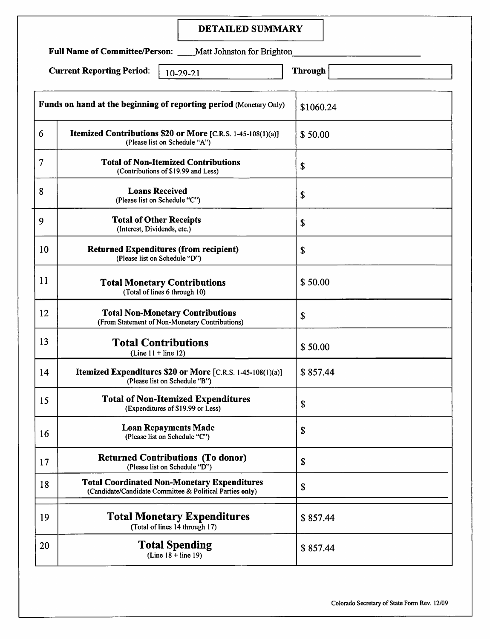# DETAILED SUMMARY

Full Name of Committee/Person: \_\_\_\_Matt Johnston for Brighton\_

Current Reporting Period:  $\begin{array}{|c|c|c|c|c|c|}\n\hline\n10-29-21\n\end{array}$  Through

|    | Funds on hand at the beginning of reporting period (Monetary Only)                                             | \$1060.24 |
|----|----------------------------------------------------------------------------------------------------------------|-----------|
| 6  | Itemized Contributions \$20 or More [C.R.S. 1-45-108(1)(a)]<br>(Please list on Schedule "A")                   | \$50.00   |
| 7  | <b>Total of Non-Itemized Contributions</b><br>(Contributions of \$19.99 and Less)                              | \$        |
| 8  | <b>Loans Received</b><br>(Please list on Schedule "C")                                                         | \$        |
| 9  | <b>Total of Other Receipts</b><br>(Interest, Dividends, etc.)                                                  | \$        |
| 10 | <b>Returned Expenditures (from recipient)</b><br>(Please list on Schedule "D")                                 | \$        |
| 11 | <b>Total Monetary Contributions</b><br>(Total of lines 6 through 10)                                           | \$50.00   |
| 12 | <b>Total Non-Monetary Contributions</b><br>(From Statement of Non-Monetary Contributions)                      | \$        |
| 13 | <b>Total Contributions</b><br>$(Line 11 + line 12)$                                                            | \$50.00   |
| 14 | Itemized Expenditures \$20 or More [C.R.S. 1-45-108(1)(a)]<br>(Please list on Schedule "B")                    | \$857.44  |
| 15 | <b>Total of Non-Itemized Expenditures</b><br>(Expenditures of \$19.99 or Less)                                 | \$        |
| 16 | <b>Loan Repayments Made</b><br>(Please list on Schedule "C")                                                   | \$        |
| 17 | <b>Returned Contributions (To donor)</b><br>(Please list on Schedule "D")                                      | \$        |
| 18 | <b>Total Coordinated Non-Monetary Expenditures</b><br>(Candidate/Candidate Committee & Political Parties only) | \$        |
| 19 | <b>Total Monetary Expenditures</b><br>(Total of lines 14 through 17)                                           | \$857.44  |
| 20 | <b>Total Spending</b><br>$(Line 18 + line 19)$                                                                 | \$857.44  |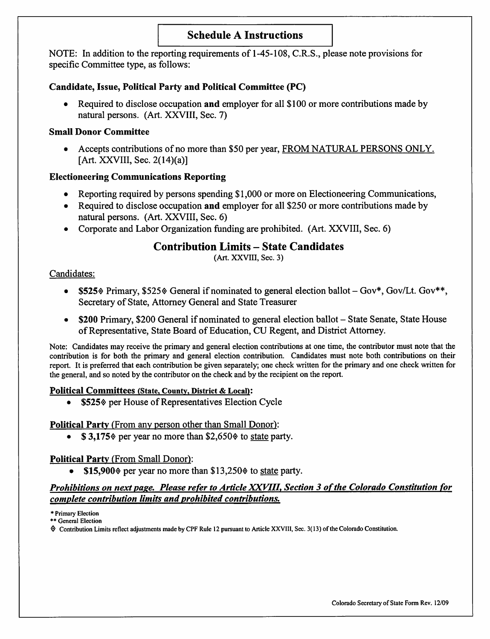# Schedule A Instructions

NOTE: In addition to the reporting requirements of 1-45-108, C.R.S., please note provisions for specific Committee type, as follows;

### Candidate, Issue, Political Party and Political Committee (PC)

• Required to disclose occupation and employer for all \$100 or more contributions made by natural persons. (Art. XXVIII, Sec. 7)

### Small Donor Committee

• Accepts contributions of no more than \$50 per year, FROM NATURAL PERSONS ONLY. [Art. XXVIII, Sec.  $2(14)(a)$ ]

# Electioneering Communications Reporting

- Reporting required by persons spending \$1,000 or more on Electioneering Communications,
- Required to disclose occupation and employer for all \$250 or more contributions made by natural persons. (Art. XXVIII, Sec. 6)
- Corporate and Labor Organization funding are prohibited. (Art. XXVIII, Sec. 6)

# Contribution Limits - State Candidates

(Art. XXVIII, Sec. 3)

### Candidates:

- \$525% Primary, \$525% General if nominated to general election ballot  $-Gov^*$ , Gov/Lt. Gov\*\*, Secretary of State, Attorney General and State Treasurer
- \$200 Primary, \$200 General if nominated to general election ballot State Senate, State House of Representative, State Board of Education, CU Regent, and District Attorney.

Note: Candidates may receive the primary and general election contributions at one time, the contributor must note that the contribution is for both the primary and general election contribution. Candidates must note both contributions on their report. It is preferred that each contribution be given separately; one check written for the primary and one check written for the general, and so noted by the contributor on the check and by the recipient on the report.

### Political Committees (State, County, District & Local):

• \$525% per House of Representatives Election Cycle

# Political Party (From any person other than Small Donor):

•  $\$$  3,175 $\degree$  per year no more than \$2,650 $\degree$  to state party.

# Political Party (From Small Donor):

•  $$15,900\%$  per year no more than  $$13,250\%$  to state party.

### Prohibitions on next page. Please refer to Article XXVIII, Section 3 of the Colorado Constitution for complete contribution limits and prohibited contributions.

\* Primary Election \*\* General Election

 $\Diamond$  Contribution Limits reflect adjustments made by CPF Rule 12 pursuant to Article XXVIII, Sec. 3(13) of the Colorado Constitution.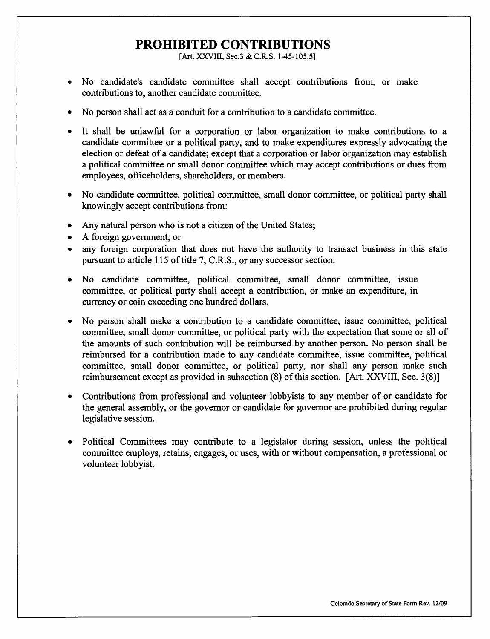# PROHIBITED CONTRIBUTIONS

[Art. XXVIII, Sec.3 & C.R.S. 1-45-105.5]

- No candidate's candidate committee shall accept contributions from, or make contributions to, another candidate committee.
- No person shall act as a conduit for a contribution to a candidate committee.
- It shall be unlawful for a corporation or labor organization to make contributions to a candidate committee or a political party, and to make expenditures expressly advocating the election or defeat of a candidate; except that a corporation or labor organization may establish a political committee or small donor committee which may accept contributions or dues from employees, officeholders, shareholders, or members.
- No candidate committee, political committee, small donor committee, or political party shall knowingly accept contributions from:
- Any natural person who is not a citizen of the United States;
- A foreign government; or
- any foreign corporation that does not have the authority to transact business in this state pursuant to article 115 of title 7, C.R.S., or any successor section.
- No candidate committee, political committee, small donor committee, issue committee, or political party shall accept a contribution, or make an expenditure, in currency or coin exceeding one hundred dollars.
- No person shall make a contribution to a candidate committee, issue committee, political committee, small donor committee, or political party with the expectation that some or all of the amounts of such contribution will be reimbursed by another person. No person shall be reimbursed for a contribution made to any candidate committee, issue committee, political committee, small donor committee, or political party, nor shall any person make such reimbursement except as provided in subsection (8) of this section. [Art. XXVIII, Sec. 3(8)]
- Contributions from professional and volunteer lobbyists to any member of or candidate for the general assembly, or the governor or candidate for governor are prohibited during regular legislative session.
- Political Committees may contribute to a legislator during session, unless the political committee employs, retains, engages, or uses, with or without compensation, a professional or volunteer lobbyist.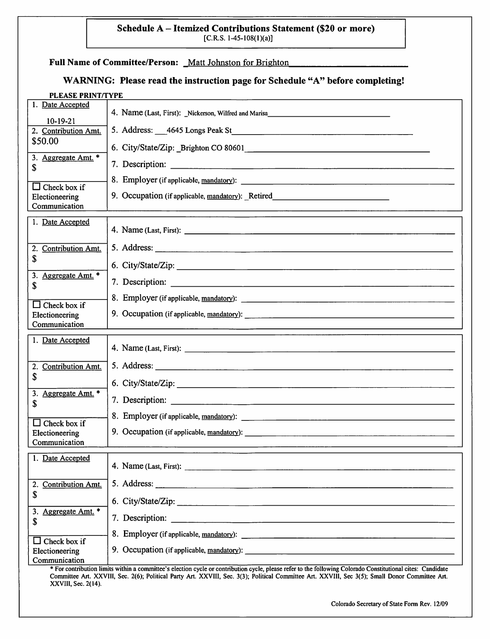### Schedule A - Itemized Contributions Statement (\$20 or more)  $[C.R.S. 1-45-108(1)(a)]$

#### Full Name of Committee/Person: Matt Johnston for Brighton

# WARNING: Please read the instruction page for Schedule "A" before completing!

| <b>PLEASE PRINT/TYPE</b>             |                                                                                  |
|--------------------------------------|----------------------------------------------------------------------------------|
| 1. Date Accepted                     | 4. Name (Last, First): Nickerson, Wilfred and Marisa                             |
| $10 - 19 - 21$                       |                                                                                  |
| 2. Contribution Amt.                 |                                                                                  |
| \$50.00                              |                                                                                  |
| 3. Aggregate Amt. *                  |                                                                                  |
| S                                    |                                                                                  |
| $\Box$ Check box if                  |                                                                                  |
| Electioneering                       | 9. Occupation (if applicable, mandatory): _Retired______________________________ |
| Communication                        |                                                                                  |
| 1. Date Accepted                     |                                                                                  |
|                                      |                                                                                  |
|                                      |                                                                                  |
| <b>Contribution Amt.</b><br>2.<br>\$ |                                                                                  |
|                                      | 6. City/State/Zip:                                                               |
| 3. Aggregate Amt. *                  |                                                                                  |
| \$                                   |                                                                                  |
| $\Box$ Check box if                  |                                                                                  |
| Electioneering                       | 9. Occupation (if applicable, mandatory):                                        |
| Communication                        |                                                                                  |
|                                      |                                                                                  |
|                                      |                                                                                  |
| 1. Date Accepted                     |                                                                                  |
|                                      |                                                                                  |
| <b>Contribution Amt.</b><br>2.       |                                                                                  |
| \$                                   |                                                                                  |
| Aggregate Amt. *<br>3.               |                                                                                  |
| \$                                   |                                                                                  |
| $\Box$ Check box if                  |                                                                                  |
| Electioneering                       | 9. Occupation (if applicable, mandatory):                                        |
| Communication                        |                                                                                  |
|                                      |                                                                                  |
| 1. Date Accepted                     |                                                                                  |
|                                      |                                                                                  |
| 2. Contribution Amt.<br>\$           |                                                                                  |
|                                      | 6. City/State/Zip: 2008. City/State/Zip:                                         |
| 3. Aggregate Amt. *                  |                                                                                  |
| \$                                   |                                                                                  |
| $\Box$ Check box if                  |                                                                                  |
| Electioneering<br>Communication      |                                                                                  |

\* For contribution limits within a committee's election cycle or contribution cycle, please refer to the following Colorado Constitutional cites: Candidate Committee Art. XXVIII, Sec. 2(6); Political Party Art. XXVIII, Sec. 3(3); Political Committee Art. XXVllI, Sec 3(5); Small Donor Committee Art. XXVIII, Sec. 2(14).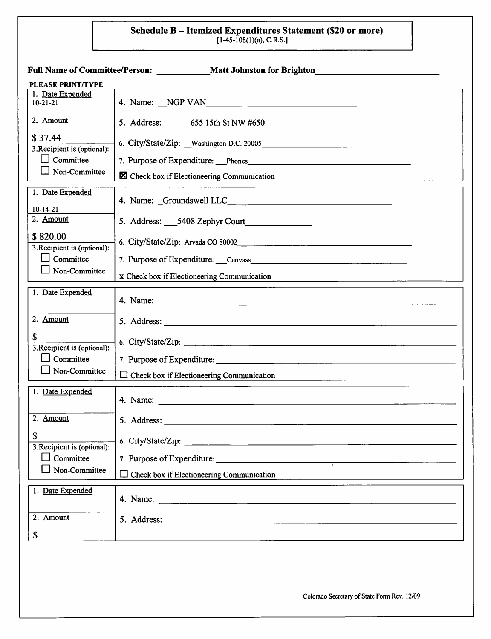### Schedule B — Itemized Expenditures Statement (\$20 or more)  $[1 - 45 - 108(1)(a), C.N.5]$

|                                         | Full Name of Committee/Person: Matt Johnston for Brighton                                                                 |
|-----------------------------------------|---------------------------------------------------------------------------------------------------------------------------|
| <b>PLEASE PRINT/TYPE</b>                |                                                                                                                           |
| 1. Date Expended<br>$10 - 21 - 21$      |                                                                                                                           |
| 2. Amount                               |                                                                                                                           |
| \$37.44<br>3. Recipient is (optional):  |                                                                                                                           |
| $\Box$ Committee                        | 7. Purpose of Expenditure: Phones                                                                                         |
| $\Box$ Non-Committee                    | S Check box if Electioneering Communication<br>the control of the control of the control of the control of the control of |
| 1. Date Expended                        |                                                                                                                           |
| $10 - 14 - 21$<br>2. Amount             | 5. Address: 5408 Zephyr Court                                                                                             |
| \$820.00<br>3. Recipient is (optional): |                                                                                                                           |
| $\Box$ Committee                        | 7. Purpose of Expenditure: Canvass Canvas Canvas Canvas Canvas Canvas Canvas Canvas Canvas Canvas Canvas Canvas           |
| $\Box$ Non-Committee                    | x Check box if Electioneering Communication                                                                               |
| 1. Date Expended                        |                                                                                                                           |
| 2. Amount                               |                                                                                                                           |
| \$<br>3. Recipient is (optional):       | 6. City/State/Zip:                                                                                                        |
| Committee<br>$\blacksquare$             |                                                                                                                           |
| Non-Committee                           | $\Box$ Check box if Electioneering Communication                                                                          |
| 1. Date Expended                        |                                                                                                                           |
| 2. Amount                               |                                                                                                                           |
| \$<br>3. Recipient is (optional):       |                                                                                                                           |
| $\Box$ Committee                        | 7. Purpose of Expenditure:                                                                                                |
| Non-Committee                           | $\Box$ Check box if Electioneering Communication                                                                          |
| 1. Date Expended                        |                                                                                                                           |
| 2. Amount                               |                                                                                                                           |
| \$                                      |                                                                                                                           |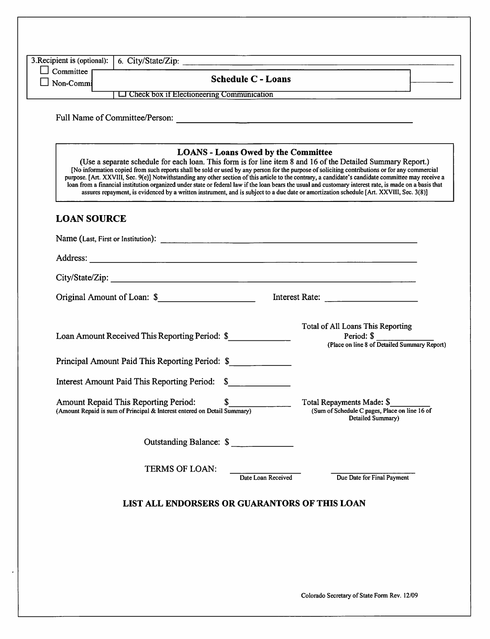| Committee<br><b>Schedule C - Loans</b><br>Non-Commi<br>$L$ Check box if Electioneering Communication<br>Full Name of Committee/Person:<br><b>LOANS - Loans Owed by the Committee</b><br>(Use a separate schedule for each loan. This form is for line item 8 and 16 of the Detailed Summary Report.)<br>[No information copied from such reports shall be sold or used by any person for the purpose of soliciting contributions or for any commercial<br>purpose. [Art. XXVIII, Sec. 9(e)] Notwithstanding any other section of this article to the contrary, a candidate's candidate committee may receive a<br>loan from a financial institution organized under state or federal law if the loan bears the usual and customary interest rate, is made on a basis that<br>assures repayment, is evidenced by a written instrument, and is subject to a due date or amortization schedule [Art. XXVIII, Sec. 3(8)]<br><b>LOAN SOURCE</b><br>Loan Amount Received This Reporting Period: \$<br>Principal Amount Paid This Reporting Period: \$<br>Interest Amount Paid This Reporting Period: \$<br>\$<br>Amount Repaid This Reporting Period:<br>(Amount Repaid is sum of Principal & Interest entered on Detail Summary)<br>Outstanding Balance: \$<br>TERMS OF LOAN: | Total of All Loans This Reporting                                                               |
|--------------------------------------------------------------------------------------------------------------------------------------------------------------------------------------------------------------------------------------------------------------------------------------------------------------------------------------------------------------------------------------------------------------------------------------------------------------------------------------------------------------------------------------------------------------------------------------------------------------------------------------------------------------------------------------------------------------------------------------------------------------------------------------------------------------------------------------------------------------------------------------------------------------------------------------------------------------------------------------------------------------------------------------------------------------------------------------------------------------------------------------------------------------------------------------------------------------------------------------------------------------------------|-------------------------------------------------------------------------------------------------|
|                                                                                                                                                                                                                                                                                                                                                                                                                                                                                                                                                                                                                                                                                                                                                                                                                                                                                                                                                                                                                                                                                                                                                                                                                                                                          |                                                                                                 |
|                                                                                                                                                                                                                                                                                                                                                                                                                                                                                                                                                                                                                                                                                                                                                                                                                                                                                                                                                                                                                                                                                                                                                                                                                                                                          |                                                                                                 |
|                                                                                                                                                                                                                                                                                                                                                                                                                                                                                                                                                                                                                                                                                                                                                                                                                                                                                                                                                                                                                                                                                                                                                                                                                                                                          |                                                                                                 |
|                                                                                                                                                                                                                                                                                                                                                                                                                                                                                                                                                                                                                                                                                                                                                                                                                                                                                                                                                                                                                                                                                                                                                                                                                                                                          |                                                                                                 |
|                                                                                                                                                                                                                                                                                                                                                                                                                                                                                                                                                                                                                                                                                                                                                                                                                                                                                                                                                                                                                                                                                                                                                                                                                                                                          |                                                                                                 |
|                                                                                                                                                                                                                                                                                                                                                                                                                                                                                                                                                                                                                                                                                                                                                                                                                                                                                                                                                                                                                                                                                                                                                                                                                                                                          |                                                                                                 |
|                                                                                                                                                                                                                                                                                                                                                                                                                                                                                                                                                                                                                                                                                                                                                                                                                                                                                                                                                                                                                                                                                                                                                                                                                                                                          |                                                                                                 |
|                                                                                                                                                                                                                                                                                                                                                                                                                                                                                                                                                                                                                                                                                                                                                                                                                                                                                                                                                                                                                                                                                                                                                                                                                                                                          |                                                                                                 |
|                                                                                                                                                                                                                                                                                                                                                                                                                                                                                                                                                                                                                                                                                                                                                                                                                                                                                                                                                                                                                                                                                                                                                                                                                                                                          |                                                                                                 |
|                                                                                                                                                                                                                                                                                                                                                                                                                                                                                                                                                                                                                                                                                                                                                                                                                                                                                                                                                                                                                                                                                                                                                                                                                                                                          | Period: $\$\$<br>(Place on line 8 of Detailed Summary Report)                                   |
|                                                                                                                                                                                                                                                                                                                                                                                                                                                                                                                                                                                                                                                                                                                                                                                                                                                                                                                                                                                                                                                                                                                                                                                                                                                                          |                                                                                                 |
|                                                                                                                                                                                                                                                                                                                                                                                                                                                                                                                                                                                                                                                                                                                                                                                                                                                                                                                                                                                                                                                                                                                                                                                                                                                                          |                                                                                                 |
|                                                                                                                                                                                                                                                                                                                                                                                                                                                                                                                                                                                                                                                                                                                                                                                                                                                                                                                                                                                                                                                                                                                                                                                                                                                                          | Total Repayments Made: \$<br>(Sum of Schedule C pages, Place on line 16 of<br>Detailed Summary) |
|                                                                                                                                                                                                                                                                                                                                                                                                                                                                                                                                                                                                                                                                                                                                                                                                                                                                                                                                                                                                                                                                                                                                                                                                                                                                          |                                                                                                 |
|                                                                                                                                                                                                                                                                                                                                                                                                                                                                                                                                                                                                                                                                                                                                                                                                                                                                                                                                                                                                                                                                                                                                                                                                                                                                          | Date Loan Received<br>Due Date for Final Payment                                                |
|                                                                                                                                                                                                                                                                                                                                                                                                                                                                                                                                                                                                                                                                                                                                                                                                                                                                                                                                                                                                                                                                                                                                                                                                                                                                          |                                                                                                 |
| LIST ALL ENDORSERS OR GUARANTORS OF THIS LOAN                                                                                                                                                                                                                                                                                                                                                                                                                                                                                                                                                                                                                                                                                                                                                                                                                                                                                                                                                                                                                                                                                                                                                                                                                            |                                                                                                 |
|                                                                                                                                                                                                                                                                                                                                                                                                                                                                                                                                                                                                                                                                                                                                                                                                                                                                                                                                                                                                                                                                                                                                                                                                                                                                          |                                                                                                 |
|                                                                                                                                                                                                                                                                                                                                                                                                                                                                                                                                                                                                                                                                                                                                                                                                                                                                                                                                                                                                                                                                                                                                                                                                                                                                          |                                                                                                 |
|                                                                                                                                                                                                                                                                                                                                                                                                                                                                                                                                                                                                                                                                                                                                                                                                                                                                                                                                                                                                                                                                                                                                                                                                                                                                          |                                                                                                 |
|                                                                                                                                                                                                                                                                                                                                                                                                                                                                                                                                                                                                                                                                                                                                                                                                                                                                                                                                                                                                                                                                                                                                                                                                                                                                          |                                                                                                 |

 $\cdot$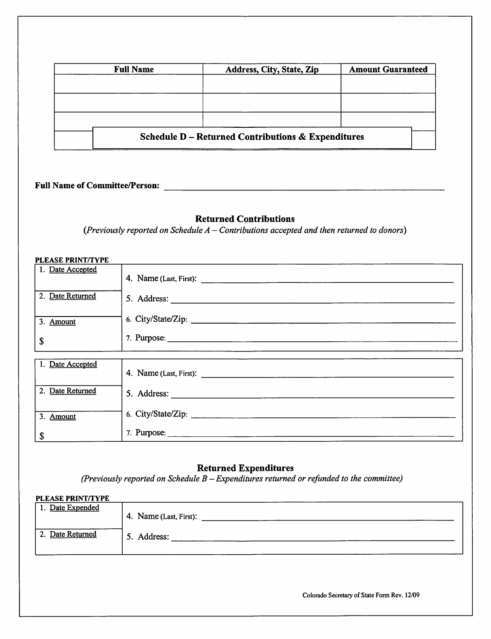| <b>Full Name</b> | Address, City, State, Zip                                     | <b>Amount Guaranteed</b> |
|------------------|---------------------------------------------------------------|--------------------------|
|                  |                                                               |                          |
|                  |                                                               |                          |
|                  |                                                               |                          |
|                  | <b>Schedule D – Returned Contributions &amp; Expenditures</b> |                          |

# Full Name of Committee/Person:

### Returned Contributions

(Previously reported on Schedule  $A$  - Contributions accepted and then returned to donors)

### PLEASE PRINT/TYPE

| 1. Date Accepted |                                                                                                                                                                                                                                                                                                                                                                                                                               |
|------------------|-------------------------------------------------------------------------------------------------------------------------------------------------------------------------------------------------------------------------------------------------------------------------------------------------------------------------------------------------------------------------------------------------------------------------------|
|                  |                                                                                                                                                                                                                                                                                                                                                                                                                               |
| 2. Date Returned | 5. Address: $\frac{1}{\sqrt{1-\frac{1}{2}}\cdot\sqrt{1-\frac{1}{2}}\cdot\sqrt{1-\frac{1}{2}}\cdot\sqrt{1-\frac{1}{2}}\cdot\sqrt{1-\frac{1}{2}}\cdot\sqrt{1-\frac{1}{2}}\cdot\sqrt{1-\frac{1}{2}}\cdot\sqrt{1-\frac{1}{2}}\cdot\sqrt{1-\frac{1}{2}}\cdot\sqrt{1-\frac{1}{2}}\cdot\sqrt{1-\frac{1}{2}}\cdot\sqrt{1-\frac{1}{2}}\cdot\sqrt{1-\frac{1}{2}}\cdot\sqrt{1-\frac{1}{2}}\cdot\sqrt{1-\frac{1}{2}}\cdot\sqrt{1-\frac{1$ |
| 3. Amount        |                                                                                                                                                                                                                                                                                                                                                                                                                               |
| \$               |                                                                                                                                                                                                                                                                                                                                                                                                                               |
|                  |                                                                                                                                                                                                                                                                                                                                                                                                                               |
| 1. Date Accepted |                                                                                                                                                                                                                                                                                                                                                                                                                               |
| 2. Date Returned |                                                                                                                                                                                                                                                                                                                                                                                                                               |
| 3. Amount        |                                                                                                                                                                                                                                                                                                                                                                                                                               |
| \$               |                                                                                                                                                                                                                                                                                                                                                                                                                               |

### Returned Expenditures

(Previously reported on Schedule  $B - Expendi**tures** returned or refined to the committee)$ 

| <b>PLEASE PRINT/TYPE</b> |                        |
|--------------------------|------------------------|
| 1. Date Expended         |                        |
|                          | 4. Name (Last, First): |
|                          |                        |
| 2. Date Returned         | 5. Address:            |
|                          |                        |
|                          |                        |

Colorado Secretary of State Fonn Rev. 12/09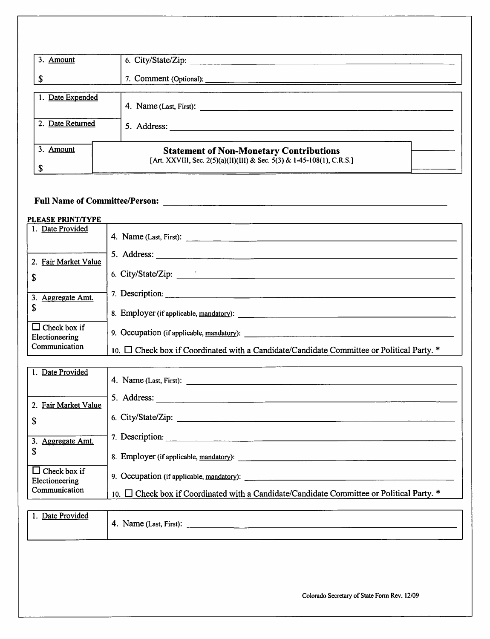| 3. Amount        | 6. City/State/Zip: _________                                                                                                                                                                                                                                                                                                                                                                                  |
|------------------|---------------------------------------------------------------------------------------------------------------------------------------------------------------------------------------------------------------------------------------------------------------------------------------------------------------------------------------------------------------------------------------------------------------|
|                  | 7. Comment (Optional):                                                                                                                                                                                                                                                                                                                                                                                        |
| 1. Date Expended | 4. Name (Last, First): $\frac{1}{\sqrt{1-\frac{1}{\sqrt{1-\frac{1}{\sqrt{1-\frac{1}{\sqrt{1-\frac{1}{\sqrt{1-\frac{1}{\sqrt{1-\frac{1}{\sqrt{1-\frac{1}{\sqrt{1-\frac{1}{\sqrt{1-\frac{1}{\sqrt{1-\frac{1}{\sqrt{1-\frac{1}{\sqrt{1-\frac{1}{\sqrt{1-\frac{1}{\sqrt{1-\frac{1}{\sqrt{1-\frac{1}{\sqrt{1-\frac{1}{\sqrt{1-\frac{1}{\sqrt{1-\frac{1}{\sqrt{1-\frac{1}{\sqrt{1-\frac{1}{\sqrt{1-\frac{1}{\sqrt{$ |
| 2. Date Returned | 5. Address:                                                                                                                                                                                                                                                                                                                                                                                                   |
| 3. Amount        | <b>Statement of Non-Monetary Contributions</b>                                                                                                                                                                                                                                                                                                                                                                |
| £.               | [Art. XXVIII, Sec. 2(5)(a)(II)(III) & Sec. 5(3) & 1-45-108(1), C.R.S.]                                                                                                                                                                                                                                                                                                                                        |

# Full Name of Committee/Person:

#### PLEASE PRINT/TYPE

| 1. Date Provided                      |                                                                                                  |
|---------------------------------------|--------------------------------------------------------------------------------------------------|
| 2. Fair Market Value                  | 5. Address:                                                                                      |
| \$                                    | 6. City/State/Zip: $\frac{1}{2}$                                                                 |
| 3. Aggregate Amt.                     | 7. Description:                                                                                  |
| \$                                    | 8. Employer (if applicable, mandatory):                                                          |
| $\Box$ Check box if<br>Electioneering | 9. Occupation (if applicable, mandatory):                                                        |
| Communication                         | 10. $\Box$ Check box if Coordinated with a Candidate/Candidate Committee or Political Party. $*$ |

| 1. Date Provided                      | 4. Name (Last, First):                                                                         |
|---------------------------------------|------------------------------------------------------------------------------------------------|
| 2. Fair Market Value                  | 5. Address:                                                                                    |
| \$                                    | 6. City/State/Zip:                                                                             |
| 3. Aggregate Amt.                     | 7. Description:                                                                                |
| \$                                    | 8. Employer (if applicable, mandatory):                                                        |
| $\Box$ Check box if<br>Electioneering | 9. Occupation (if applicable, mandatory):                                                      |
| Communication                         | 10. $\Box$ Check box if Coordinated with a Candidate/Candidate Committee or Political Party. * |

| Date Provided | $\sim$ $\sim$<br>Name (Last, First):<br>4. |  |
|---------------|--------------------------------------------|--|
|               |                                            |  |

Colorado Secretary of State Fonn Rev. 12/09